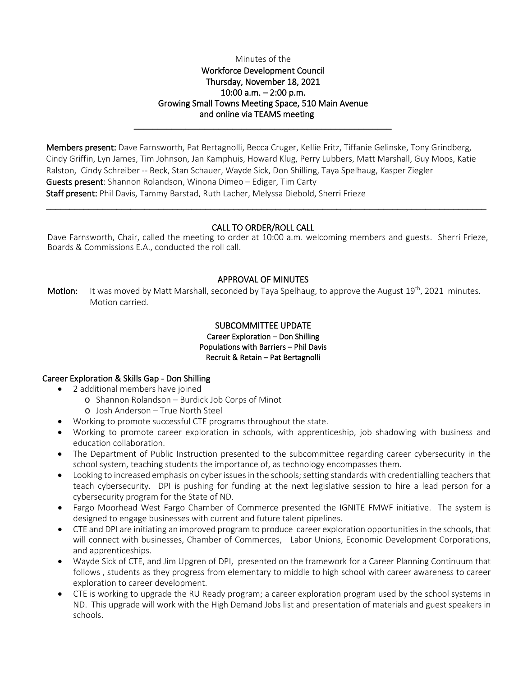#### Minutes of the

## Workforce Development Council Thursday, November 18, 2021 10:00 a.m. – 2:00 p.m. Growing Small Towns Meeting Space, 510 Main Avenue and online via TEAMS meeting

\_\_\_\_\_\_\_\_\_\_\_\_\_\_\_\_\_\_\_\_\_\_\_\_\_\_\_\_\_\_\_\_\_\_\_\_\_\_\_\_\_\_\_\_\_\_\_\_\_\_\_\_\_\_\_

Members present: Dave Farnsworth, Pat Bertagnolli, Becca Cruger, Kellie Fritz, Tiffanie Gelinske, Tony Grindberg, Cindy Griffin, Lyn James, Tim Johnson, Jan Kamphuis, Howard Klug, Perry Lubbers, Matt Marshall, Guy Moos, Katie Ralston, Cindy Schreiber -- Beck, Stan Schauer, Wayde Sick, Don Shilling, Taya Spelhaug, Kasper Ziegler Guests present: Shannon Rolandson, Winona Dimeo – Ediger, Tim Carty Staff present: Phil Davis, Tammy Barstad, Ruth Lacher, Melyssa Diebold, Sherri Frieze

## CALL TO ORDER/ROLL CALL

 $\_$  ,  $\_$  ,  $\_$  ,  $\_$  ,  $\_$  ,  $\_$  ,  $\_$  ,  $\_$  ,  $\_$  ,  $\_$  ,  $\_$  ,  $\_$  ,  $\_$  ,  $\_$  ,  $\_$  ,  $\_$  ,  $\_$  ,  $\_$  ,  $\_$  ,  $\_$  ,  $\_$  ,  $\_$  ,  $\_$  ,  $\_$  ,  $\_$  ,  $\_$  ,  $\_$  ,  $\_$  ,  $\_$  ,  $\_$  ,  $\_$  ,  $\_$  ,  $\_$  ,  $\_$  ,  $\_$  ,  $\_$  ,  $\_$  ,

Dave Farnsworth, Chair, called the meeting to order at 10:00 a.m. welcoming members and guests. Sherri Frieze, Boards & Commissions E.A., conducted the roll call.

### APPROVAL OF MINUTES

**Motion:** It was moved by Matt Marshall, seconded by Taya Spelhaug, to approve the August  $19^{th}$ , 2021 minutes. Motion carried.

### SUBCOMMITTEE UPDATE Career Exploration – Don Shilling Populations with Barriers – Phil Davis Recruit & Retain – Pat Bertagnolli

### Career Exploration & Skills Gap - Don Shilling

- 2 additional members have joined
	- o Shannon Rolandson Burdick Job Corps of Minot
	- o Josh Anderson True North Steel
- Working to promote successful CTE programs throughout the state.
- Working to promote career exploration in schools, with apprenticeship, job shadowing with business and education collaboration.
- The Department of Public Instruction presented to the subcommittee regarding career cybersecurity in the school system, teaching students the importance of, as technology encompasses them.
- Looking to increased emphasis on cyber issues in the schools; setting standards with credentialling teachers that teach cybersecurity. DPI is pushing for funding at the next legislative session to hire a lead person for a cybersecurity program for the State of ND.
- Fargo Moorhead West Fargo Chamber of Commerce presented the IGNITE FMWF initiative. The system is designed to engage businesses with current and future talent pipelines.
- CTE and DPI are initiating an improved program to produce career exploration opportunities in the schools, that will connect with businesses, Chamber of Commerces, Labor Unions, Economic Development Corporations, and apprenticeships.
- Wayde Sick of CTE, and Jim Upgren of DPI, presented on the framework for a Career Planning Continuum that follows , students as they progress from elementary to middle to high school with career awareness to career exploration to career development.
- CTE is working to upgrade the RU Ready program; a career exploration program used by the school systems in ND. This upgrade will work with the High Demand Jobs list and presentation of materials and guest speakers in schools.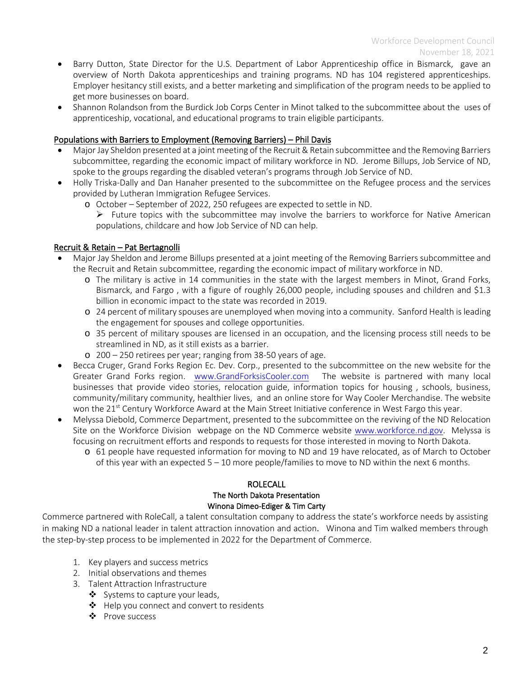- Barry Dutton, State Director for the U.S. Department of Labor Apprenticeship office in Bismarck, gave an overview of North Dakota apprenticeships and training programs. ND has 104 registered apprenticeships. Employer hesitancy still exists, and a better marketing and simplification of the program needs to be applied to get more businesses on board.
- Shannon Rolandson from the Burdick Job Corps Center in Minot talked to the subcommittee about the uses of apprenticeship, vocational, and educational programs to train eligible participants.

## Populations with Barriers to Employment (Removing Barriers) – Phil Davis

- Major Jay Sheldon presented at a joint meeting of the Recruit & Retain subcommittee and the Removing Barriers subcommittee, regarding the economic impact of military workforce in ND. Jerome Billups, Job Service of ND, spoke to the groups regarding the disabled veteran's programs through Job Service of ND.
- Holly Triska-Dally and Dan Hanaher presented to the subcommittee on the Refugee process and the services provided by Lutheran Immigration Refugee Services.
	- o October September of 2022, 250 refugees are expected to settle in ND.
		- $\triangleright$  Future topics with the subcommittee may involve the barriers to workforce for Native American populations, childcare and how Job Service of ND can help.

# Recruit & Retain – Pat Bertagnolli

- Major Jay Sheldon and Jerome Billups presented at a joint meeting of the Removing Barriers subcommittee and the Recruit and Retain subcommittee, regarding the economic impact of military workforce in ND.
	- o The military is active in 14 communities in the state with the largest members in Minot, Grand Forks, Bismarck, and Fargo , with a figure of roughly 26,000 people, including spouses and children and \$1.3 billion in economic impact to the state was recorded in 2019.
	- o 24 percent of military spouses are unemployed when moving into a community. Sanford Health is leading the engagement for spouses and college opportunities.
	- o 35 percent of military spouses are licensed in an occupation, and the licensing process still needs to be streamlined in ND, as it still exists as a barrier.
	- o 200 250 retirees per year; ranging from 38-50 years of age.
- Becca Cruger, Grand Forks Region Ec. Dev. Corp., presented to the subcommittee on the new website for the Greater Grand Forks region. [www.GrandForksisCooler.com](http://www.grandforksiscooler.com/) The website is partnered with many local businesses that provide video stories, relocation guide, information topics for housing , schools, business, community/military community, healthier lives, and an online store for Way Cooler Merchandise. The website won the 21<sup>st</sup> Century Workforce Award at the Main Street Initiative conference in West Fargo this year.
- Melyssa Diebold, Commerce Department, presented to the subcommittee on the reviving of the ND Relocation Site on the Workforce Division webpage on the ND Commerce website [www.workforce.nd.gov.](http://www.workforce.nd.gov/) Melyssa is focusing on recruitment efforts and responds to requests for those interested in moving to North Dakota.
	- o 61 people have requested information for moving to ND and 19 have relocated, as of March to October of this year with an expected 5 – 10 more people/families to move to ND within the next 6 months.

## ROLECALL The North Dakota Presentation Winona Dimeo-Ediger & Tim Carty

Commerce partnered with RoleCall, a talent consultation company to address the state's workforce needs by assisting in making ND a national leader in talent attraction innovation and action. Winona and Tim walked members through the step-by-step process to be implemented in 2022 for the Department of Commerce.

- 1. Key players and success metrics
- 2. Initial observations and themes
- 3. Talent Attraction Infrastructure
	- $\clubsuit$  Systems to capture your leads,
	- ❖ Help you connect and convert to residents
	- ❖ Prove success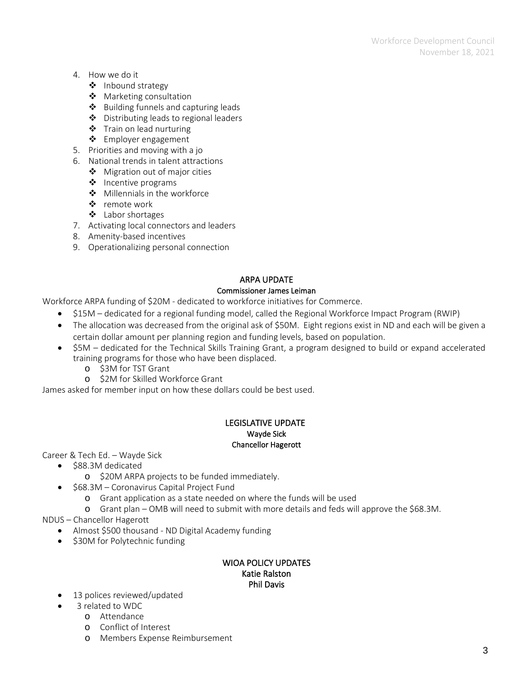- 4. How we do it
	- ❖ Inbound strategy
	- ❖ Marketing consultation
	- $\triangle$  Building funnels and capturing leads
	- ❖ Distributing leads to regional leaders
	- ❖ Train on lead nurturing
	- ❖ Employer engagement
- 5. Priorities and moving with a jo
- 6. National trends in talent attractions
	- ❖ Migration out of major cities
	- ❖ Incentive programs
	- Millennials in the workforce
	- ❖ remote work
	- Labor shortages
- 7. Activating local connectors and leaders
- 8. Amenity-based incentives
- 9. Operationalizing personal connection

## ARPA UPDATE

### Commissioner James Leiman

Workforce ARPA funding of \$20M - dedicated to workforce initiatives for Commerce.

- \$15M dedicated for a regional funding model, called the Regional Workforce Impact Program (RWIP)
- The allocation was decreased from the original ask of \$50M. Eight regions exist in ND and each will be given a certain dollar amount per planning region and funding levels, based on population.
- \$5M dedicated for the Technical Skills Training Grant, a program designed to build or expand accelerated training programs for those who have been displaced.
	- o \$3M for TST Grant
	- o \$2M for Skilled Workforce Grant

James asked for member input on how these dollars could be best used.

### LEGISLATIVE UPDATE Wayde Sick Chancellor Hagerott

Career & Tech Ed. – Wayde Sick

- \$88.3M dedicated
	- o \$20M ARPA projects to be funded immediately.
- \$68.3M Coronavirus Capital Project Fund
	- o Grant application as a state needed on where the funds will be used
	- o Grant plan OMB will need to submit with more details and feds will approve the \$68.3M.

NDUS – Chancellor Hagerott

- Almost \$500 thousand ND Digital Academy funding
- \$30M for Polytechnic funding

#### WIOA POLICY UPDATES Katie Ralston Phil Davis

- 13 polices reviewed/updated
- 3 related to WDC
	- o Attendance
	- o Conflict of Interest
	- o Members Expense Reimbursement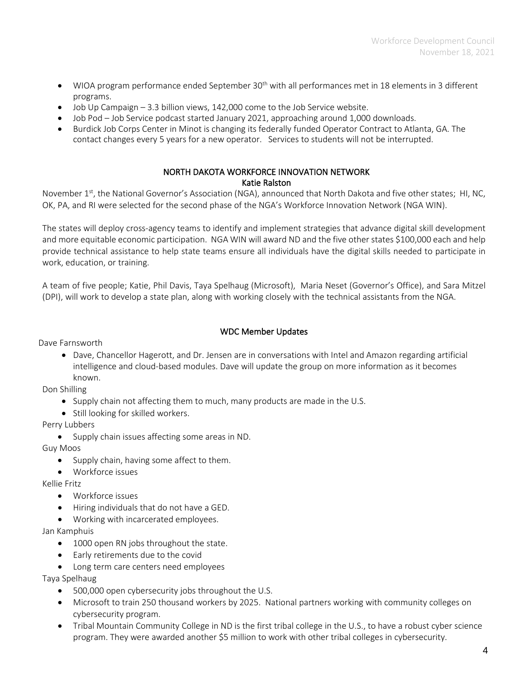- WIOA program performance ended September 30<sup>th</sup> with all performances met in 18 elements in 3 different programs.
- $\bullet$  Job Up Campaign  $-3.3$  billion views, 142,000 come to the Job Service website.
- Job Pod Job Service podcast started January 2021, approaching around 1,000 downloads.
- Burdick Job Corps Center in Minot is changing its federally funded Operator Contract to Atlanta, GA. The contact changes every 5 years for a new operator. Services to students will not be interrupted.

### NORTH DAKOTA WORKFORCE INNOVATION NETWORK Katie Ralston

November 1<sup>st</sup>, the National Governor's Association (NGA), announced that North Dakota and five other states; HI, NC, OK, PA, and RI were selected for the second phase of the NGA's Workforce Innovation Network (NGA WIN).

The states will deploy cross-agency teams to identify and implement strategies that advance digital skill development and more equitable economic participation. NGA WIN will award ND and the five other states \$100,000 each and help provide technical assistance to help state teams ensure all individuals have the digital skills needed to participate in work, education, or training.

A team of five people; Katie, Phil Davis, Taya Spelhaug (Microsoft), Maria Neset (Governor's Office), and Sara Mitzel (DPI), will work to develop a state plan, along with working closely with the technical assistants from the NGA.

# WDC Member Updates

Dave Farnsworth

• Dave, Chancellor Hagerott, and Dr. Jensen are in conversations with Intel and Amazon regarding artificial intelligence and cloud-based modules. Dave will update the group on more information as it becomes known.

Don Shilling

- Supply chain not affecting them to much, many products are made in the U.S.
- Still looking for skilled workers.

Perry Lubbers

• Supply chain issues affecting some areas in ND.

Guy Moos

- Supply chain, having some affect to them.
- Workforce issues

Kellie Fritz

- Workforce issues
- Hiring individuals that do not have a GED.
- Working with incarcerated employees.

Jan Kamphuis

- 1000 open RN jobs throughout the state.
- Early retirements due to the covid
- Long term care centers need employees

Taya Spelhaug

- 500,000 open cybersecurity jobs throughout the U.S.
- Microsoft to train 250 thousand workers by 2025. National partners working with community colleges on cybersecurity program.
- Tribal Mountain Community College in ND is the first tribal college in the U.S., to have a robust cyber science program. They were awarded another \$5 million to work with other tribal colleges in cybersecurity.